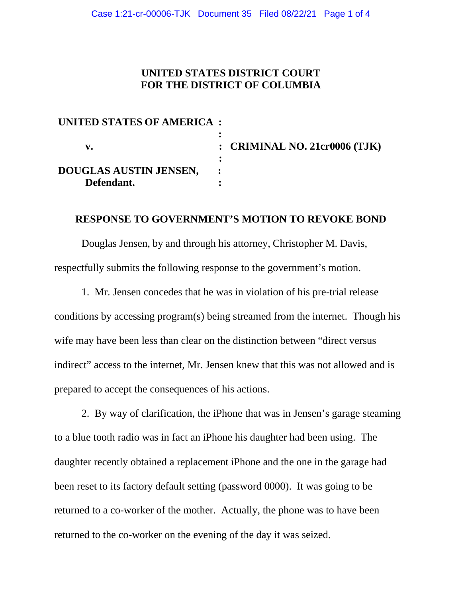## **UNITED STATES DISTRICT COURT FOR THE DISTRICT OF COLUMBIA**

| UNITED STATES OF AMERICA : |                                  |
|----------------------------|----------------------------------|
|                            |                                  |
| V.                         | : CRIMINAL NO. 21 $cr0006$ (TJK) |
|                            |                                  |
| DOUGLAS AUSTIN JENSEN,     |                                  |
| Defendant.                 |                                  |

## **RESPONSE TO GOVERNMENT'S MOTION TO REVOKE BOND**

Douglas Jensen, by and through his attorney, Christopher M. Davis, respectfully submits the following response to the government's motion.

1. Mr. Jensen concedes that he was in violation of his pre-trial release conditions by accessing program(s) being streamed from the internet. Though his wife may have been less than clear on the distinction between "direct versus indirect" access to the internet, Mr. Jensen knew that this was not allowed and is prepared to accept the consequences of his actions.

2. By way of clarification, the iPhone that was in Jensen's garage steaming to a blue tooth radio was in fact an iPhone his daughter had been using. The daughter recently obtained a replacement iPhone and the one in the garage had been reset to its factory default setting (password 0000). It was going to be returned to a co-worker of the mother. Actually, the phone was to have been returned to the co-worker on the evening of the day it was seized.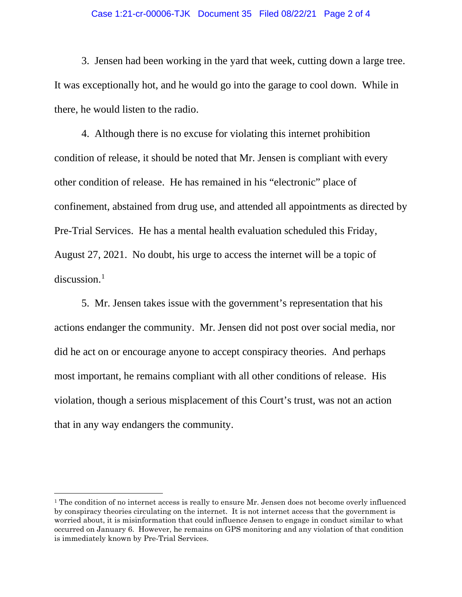## Case 1:21-cr-00006-TJK Document 35 Filed 08/22/21 Page 2 of 4

3. Jensen had been working in the yard that week, cutting down a large tree. It was exceptionally hot, and he would go into the garage to cool down. While in there, he would listen to the radio.

4. Although there is no excuse for violating this internet prohibition condition of release, it should be noted that Mr. Jensen is compliant with every other condition of release. He has remained in his "electronic" place of confinement, abstained from drug use, and attended all appointments as directed by Pre-Trial Services. He has a mental health evaluation scheduled this Friday, August 27, 2021. No doubt, his urge to access the internet will be a topic of discussion. $1$ 

5. Mr. Jensen takes issue with the government's representation that his actions endanger the community. Mr. Jensen did not post over social media, nor did he act on or encourage anyone to accept conspiracy theories. And perhaps most important, he remains compliant with all other conditions of release. His violation, though a serious misplacement of this Court's trust, was not an action that in any way endangers the community.

 $1$  The condition of no internet access is really to ensure Mr. Jensen does not become overly influenced by conspiracy theories circulating on the internet. It is not internet access that the government is worried about, it is misinformation that could influence Jensen to engage in conduct similar to what occurred on January 6. However, he remains on GPS monitoring and any violation of that condition is immediately known by Pre-Trial Services.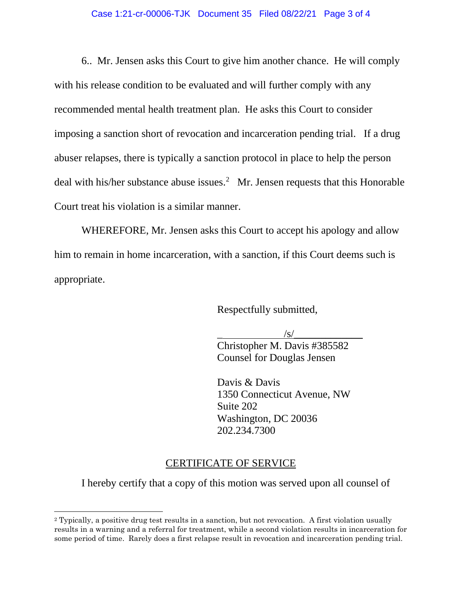6.. Mr. Jensen asks this Court to give him another chance. He will comply with his release condition to be evaluated and will further comply with any recommended mental health treatment plan. He asks this Court to consider imposing a sanction short of revocation and incarceration pending trial. If a drug abuser relapses, there is typically a sanction protocol in place to help the person deal with his/her substance abuse issues.<sup>2</sup> Mr. Jensen requests that this Honorable Court treat his violation is a similar manner.

WHEREFORE, Mr. Jensen asks this Court to accept his apology and allow him to remain in home incarceration, with a sanction, if this Court deems such is appropriate.

Respectfully submitted,

 $\frac{|s|}{s}$ 

Christopher M. Davis #385582 Counsel for Douglas Jensen

 Davis & Davis 1350 Connecticut Avenue, NW Suite 202 Washington, DC 20036 202.234.7300

## CERTIFICATE OF SERVICE

I hereby certify that a copy of this motion was served upon all counsel of

<sup>2</sup> Typically, a positive drug test results in a sanction, but not revocation. A first violation usually results in a warning and a referral for treatment, while a second violation results in incarceration for some period of time. Rarely does a first relapse result in revocation and incarceration pending trial.